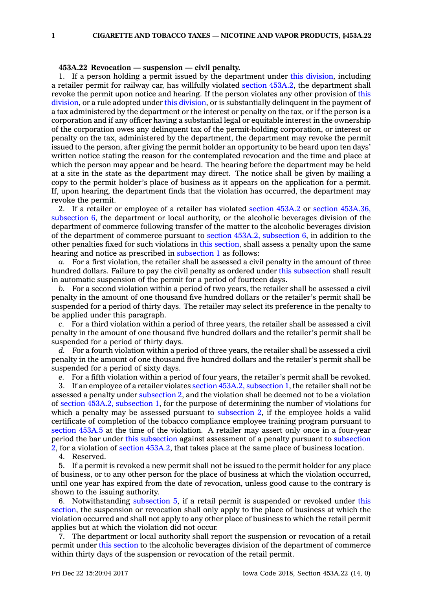## **453A.22 Revocation — suspension — civil penalty.**

1. If <sup>a</sup> person holding <sup>a</sup> permit issued by the department under this [division](https://www.legis.iowa.gov/docs/code//453A.pdf), including <sup>a</sup> retailer permit for railway car, has willfully violated section [453A.2](https://www.legis.iowa.gov/docs/code/453A.2.pdf), the department shall revoke the permit upon notice and hearing. If the person violates any other provision of [this](https://www.legis.iowa.gov/docs/code//453A.pdf) [division](https://www.legis.iowa.gov/docs/code//453A.pdf), or <sup>a</sup> rule adopted under this [division](https://www.legis.iowa.gov/docs/code//453A.pdf), or is substantially delinquent in the payment of <sup>a</sup> tax administered by the department or the interest or penalty on the tax, or if the person is <sup>a</sup> corporation and if any officer having <sup>a</sup> substantial legal or equitable interest in the ownership of the corporation owes any delinquent tax of the permit-holding corporation, or interest or penalty on the tax, administered by the department, the department may revoke the permit issued to the person, after giving the permit holder an opportunity to be heard upon ten days' written notice stating the reason for the contemplated revocation and the time and place at which the person may appear and be heard. The hearing before the department may be held at <sup>a</sup> site in the state as the department may direct. The notice shall be given by mailing <sup>a</sup> copy to the permit holder's place of business as it appears on the application for <sup>a</sup> permit. If, upon hearing, the department finds that the violation has occurred, the department may revoke the permit.

2. If <sup>a</sup> retailer or employee of <sup>a</sup> retailer has violated [section](https://www.legis.iowa.gov/docs/code/453A.2.pdf) 453A.2 or section [453A.36,](https://www.legis.iowa.gov/docs/code/453A.36.pdf) [subsection](https://www.legis.iowa.gov/docs/code/453A.36.pdf) 6, the department or local authority, or the alcoholic beverages division of the department of commerce following transfer of the matter to the alcoholic beverages division of the department of commerce pursuant to section 453A.2, [subsection](https://www.legis.iowa.gov/docs/code/453A.2.pdf) 6, in addition to the other penalties fixed for such violations in this [section](https://www.legis.iowa.gov/docs/code/453A.22.pdf), shall assess <sup>a</sup> penalty upon the same hearing and notice as prescribed in [subsection](https://www.legis.iowa.gov/docs/code/453A.22.pdf) 1 as follows:

*a.* For <sup>a</sup> first violation, the retailer shall be assessed <sup>a</sup> civil penalty in the amount of three hundred dollars. Failure to pay the civil penalty as ordered under this [subsection](https://www.legis.iowa.gov/docs/code/453A.22.pdf) shall result in automatic suspension of the permit for <sup>a</sup> period of fourteen days.

*b.* For <sup>a</sup> second violation within <sup>a</sup> period of two years, the retailer shall be assessed <sup>a</sup> civil penalty in the amount of one thousand five hundred dollars or the retailer's permit shall be suspended for <sup>a</sup> period of thirty days. The retailer may select its preference in the penalty to be applied under this paragraph.

*c.* For <sup>a</sup> third violation within <sup>a</sup> period of three years, the retailer shall be assessed <sup>a</sup> civil penalty in the amount of one thousand five hundred dollars and the retailer's permit shall be suspended for <sup>a</sup> period of thirty days.

*d.* For <sup>a</sup> fourth violation within <sup>a</sup> period of three years, the retailer shall be assessed <sup>a</sup> civil penalty in the amount of one thousand five hundred dollars and the retailer's permit shall be suspended for <sup>a</sup> period of sixty days.

*e.* For <sup>a</sup> fifth violation within <sup>a</sup> period of four years, the retailer's permit shall be revoked.

3. If an employee of <sup>a</sup> retailer violates section 453A.2, [subsection](https://www.legis.iowa.gov/docs/code/453A.2.pdf) 1, the retailer shall not be assessed <sup>a</sup> penalty under [subsection](https://www.legis.iowa.gov/docs/code/453A.22.pdf) 2, and the violation shall be deemed not to be <sup>a</sup> violation of section 453A.2, [subsection](https://www.legis.iowa.gov/docs/code/453A.2.pdf) 1, for the purpose of determining the number of violations for which a penalty may be assessed pursuant to [subsection](https://www.legis.iowa.gov/docs/code/453A.22.pdf) 2, if the employee holds a valid certificate of completion of the tobacco compliance employee training program pursuant to [section](https://www.legis.iowa.gov/docs/code/453A.5.pdf) 453A.5 at the time of the violation. A retailer may assert only once in <sup>a</sup> four-year period the bar under this [subsection](https://www.legis.iowa.gov/docs/code/453A.22.pdf) against assessment of <sup>a</sup> penalty pursuant to [subsection](https://www.legis.iowa.gov/docs/code/453A.22.pdf) [2](https://www.legis.iowa.gov/docs/code/453A.22.pdf), for <sup>a</sup> violation of section [453A.2](https://www.legis.iowa.gov/docs/code/453A.2.pdf), that takes place at the same place of business location.

4. Reserved.

5. If <sup>a</sup> permit is revoked <sup>a</sup> new permit shall not be issued to the permit holder for any place of business, or to any other person for the place of business at which the violation occurred, until one year has expired from the date of revocation, unless good cause to the contrary is shown to the issuing authority.

6. Notwithstanding [subsection](https://www.legis.iowa.gov/docs/code/453A.22.pdf) 5, if <sup>a</sup> retail permit is suspended or revoked under [this](https://www.legis.iowa.gov/docs/code/453A.22.pdf) [section](https://www.legis.iowa.gov/docs/code/453A.22.pdf), the suspension or revocation shall only apply to the place of business at which the violation occurred and shall not apply to any other place of business to which the retail permit applies but at which the violation did not occur.

7. The department or local authority shall report the suspension or revocation of <sup>a</sup> retail permit under this [section](https://www.legis.iowa.gov/docs/code/453A.22.pdf) to the alcoholic beverages division of the department of commerce within thirty days of the suspension or revocation of the retail permit.